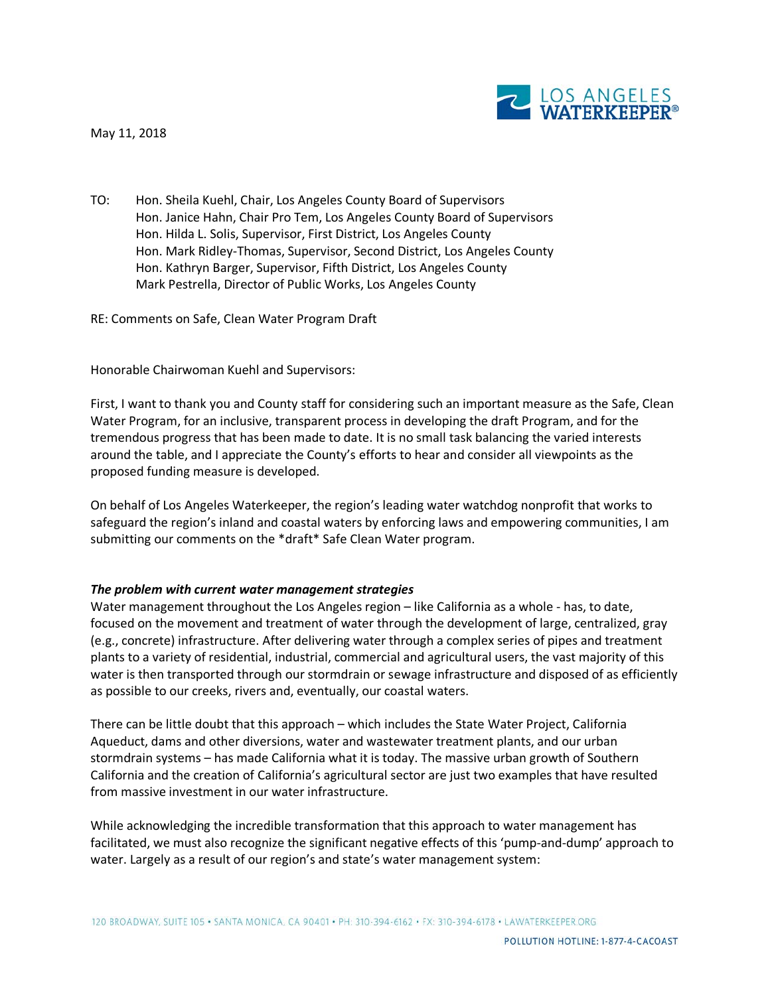May 11, 2018



TO: Hon. Sheila Kuehl, Chair, Los Angeles County Board of Supervisors Hon. Janice Hahn, Chair Pro Tem, Los Angeles County Board of Supervisors Hon. Hilda L. Solis, Supervisor, First District, Los Angeles County Hon. Mark Ridley-Thomas, Supervisor, Second District, Los Angeles County Hon. Kathryn Barger, Supervisor, Fifth District, Los Angeles County Mark Pestrella, Director of Public Works, Los Angeles County

RE: Comments on Safe, Clean Water Program Draft

Honorable Chairwoman Kuehl and Supervisors:

First, I want to thank you and County staff for considering such an important measure as the Safe, Clean Water Program, for an inclusive, transparent process in developing the draft Program, and for the tremendous progress that has been made to date. It is no small task balancing the varied interests around the table, and I appreciate the County's efforts to hear and consider all viewpoints as the proposed funding measure is developed.

On behalf of Los Angeles Waterkeeper, the region's leading water watchdog nonprofit that works to safeguard the region's inland and coastal waters by enforcing laws and empowering communities, I am submitting our comments on the \*draft\* Safe Clean Water program.

#### *The problem with current water management strategies*

Water management throughout the Los Angeles region – like California as a whole - has, to date, focused on the movement and treatment of water through the development of large, centralized, gray (e.g., concrete) infrastructure. After delivering water through a complex series of pipes and treatment plants to a variety of residential, industrial, commercial and agricultural users, the vast majority of this water is then transported through our stormdrain or sewage infrastructure and disposed of as efficiently as possible to our creeks, rivers and, eventually, our coastal waters.

There can be little doubt that this approach – which includes the State Water Project, California Aqueduct, dams and other diversions, water and wastewater treatment plants, and our urban stormdrain systems – has made California what it is today. The massive urban growth of Southern California and the creation of California's agricultural sector are just two examples that have resulted from massive investment in our water infrastructure.

While acknowledging the incredible transformation that this approach to water management has facilitated, we must also recognize the significant negative effects of this 'pump-and-dump' approach to water. Largely as a result of our region's and state's water management system: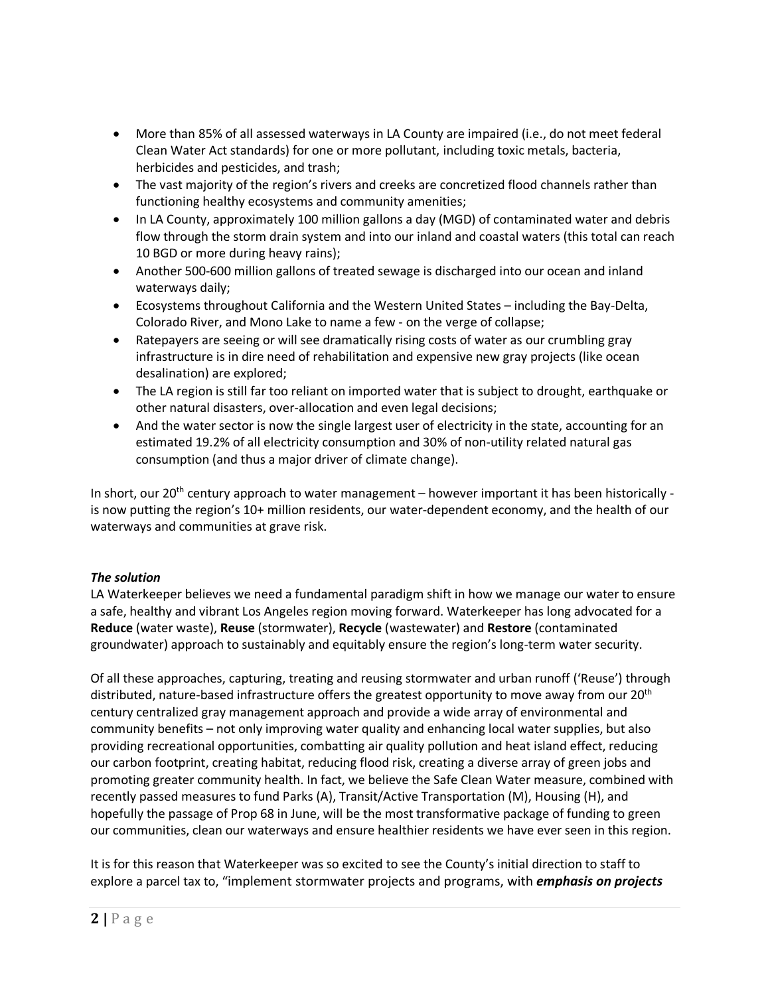- More than 85% of all assessed waterways in LA County are impaired (i.e., do not meet federal Clean Water Act standards) for one or more pollutant, including toxic metals, bacteria, herbicides and pesticides, and trash;
- The vast majority of the region's rivers and creeks are concretized flood channels rather than functioning healthy ecosystems and community amenities;
- In LA County, approximately 100 million gallons a day (MGD) of contaminated water and debris flow through the storm drain system and into our inland and coastal waters (this total can reach 10 BGD or more during heavy rains);
- Another 500-600 million gallons of treated sewage is discharged into our ocean and inland waterways daily;
- Ecosystems throughout California and the Western United States including the Bay-Delta, Colorado River, and Mono Lake to name a few - on the verge of collapse;
- Ratepayers are seeing or will see dramatically rising costs of water as our crumbling gray infrastructure is in dire need of rehabilitation and expensive new gray projects (like ocean desalination) are explored;
- The LA region is still far too reliant on imported water that is subject to drought, earthquake or other natural disasters, over-allocation and even legal decisions;
- And the water sector is now the single largest user of electricity in the state, accounting for an estimated 19.2% of all electricity consumption and 30% of non-utility related natural gas consumption (and thus a major driver of climate change).

In short, our  $20^{th}$  century approach to water management – however important it has been historically is now putting the region's 10+ million residents, our water-dependent economy, and the health of our waterways and communities at grave risk.

# *The solution*

LA Waterkeeper believes we need a fundamental paradigm shift in how we manage our water to ensure a safe, healthy and vibrant Los Angeles region moving forward. Waterkeeper has long advocated for a **Reduce** (water waste), **Reuse** (stormwater), **Recycle** (wastewater) and **Restore** (contaminated groundwater) approach to sustainably and equitably ensure the region's long-term water security.

Of all these approaches, capturing, treating and reusing stormwater and urban runoff ('Reuse') through distributed, nature-based infrastructure offers the greatest opportunity to move away from our 20<sup>th</sup> century centralized gray management approach and provide a wide array of environmental and community benefits – not only improving water quality and enhancing local water supplies, but also providing recreational opportunities, combatting air quality pollution and heat island effect, reducing our carbon footprint, creating habitat, reducing flood risk, creating a diverse array of green jobs and promoting greater community health. In fact, we believe the Safe Clean Water measure, combined with recently passed measures to fund Parks (A), Transit/Active Transportation (M), Housing (H), and hopefully the passage of Prop 68 in June, will be the most transformative package of funding to green our communities, clean our waterways and ensure healthier residents we have ever seen in this region.

It is for this reason that Waterkeeper was so excited to see the County's initial direction to staff to explore a parcel tax to, "implement stormwater projects and programs, with *emphasis on projects*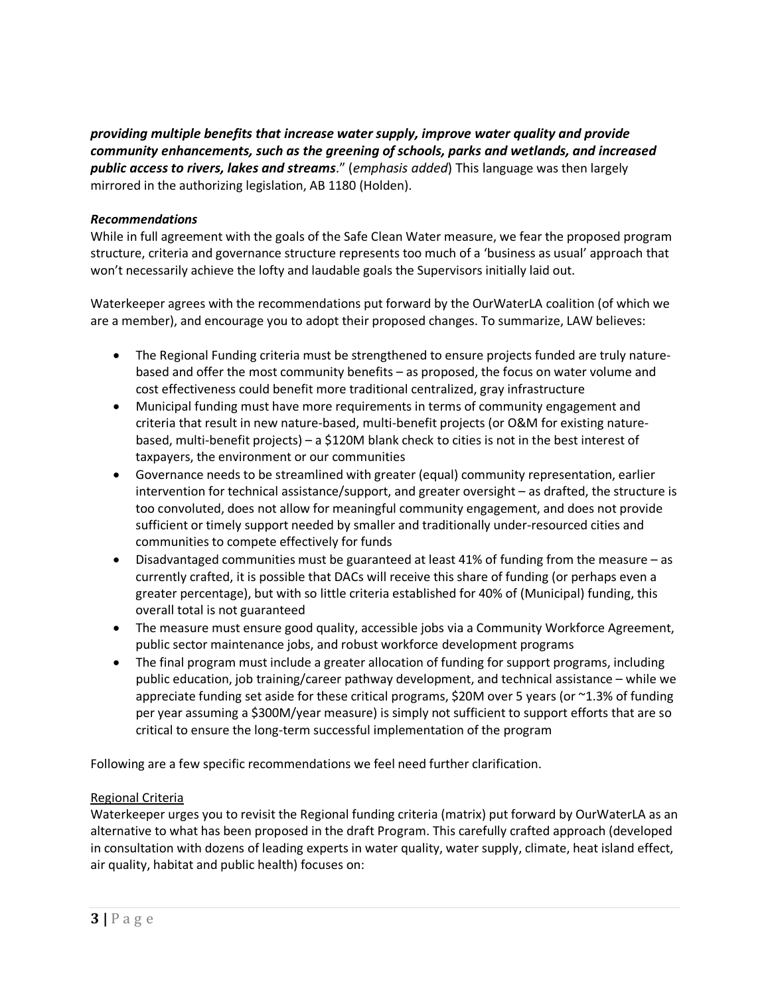*providing multiple benefits that increase water supply, improve water quality and provide community enhancements, such as the greening of schools, parks and wetlands, and increased public access to rivers, lakes and streams*." (*emphasis added*) This language was then largely mirrored in the authorizing legislation, AB 1180 (Holden).

## *Recommendations*

While in full agreement with the goals of the Safe Clean Water measure, we fear the proposed program structure, criteria and governance structure represents too much of a 'business as usual' approach that won't necessarily achieve the lofty and laudable goals the Supervisors initially laid out.

Waterkeeper agrees with the recommendations put forward by the OurWaterLA coalition (of which we are a member), and encourage you to adopt their proposed changes. To summarize, LAW believes:

- The Regional Funding criteria must be strengthened to ensure projects funded are truly naturebased and offer the most community benefits – as proposed, the focus on water volume and cost effectiveness could benefit more traditional centralized, gray infrastructure
- Municipal funding must have more requirements in terms of community engagement and criteria that result in new nature-based, multi-benefit projects (or O&M for existing naturebased, multi-benefit projects) – a \$120M blank check to cities is not in the best interest of taxpayers, the environment or our communities
- Governance needs to be streamlined with greater (equal) community representation, earlier intervention for technical assistance/support, and greater oversight – as drafted, the structure is too convoluted, does not allow for meaningful community engagement, and does not provide sufficient or timely support needed by smaller and traditionally under-resourced cities and communities to compete effectively for funds
- Disadvantaged communities must be guaranteed at least 41% of funding from the measure as currently crafted, it is possible that DACs will receive this share of funding (or perhaps even a greater percentage), but with so little criteria established for 40% of (Municipal) funding, this overall total is not guaranteed
- The measure must ensure good quality, accessible jobs via a Community Workforce Agreement, public sector maintenance jobs, and robust workforce development programs
- The final program must include a greater allocation of funding for support programs, including public education, job training/career pathway development, and technical assistance – while we appreciate funding set aside for these critical programs, \$20M over 5 years (or ~1.3% of funding per year assuming a \$300M/year measure) is simply not sufficient to support efforts that are so critical to ensure the long-term successful implementation of the program

Following are a few specific recommendations we feel need further clarification.

## Regional Criteria

Waterkeeper urges you to revisit the Regional funding criteria (matrix) put forward by OurWaterLA as an alternative to what has been proposed in the draft Program. This carefully crafted approach (developed in consultation with dozens of leading experts in water quality, water supply, climate, heat island effect, air quality, habitat and public health) focuses on: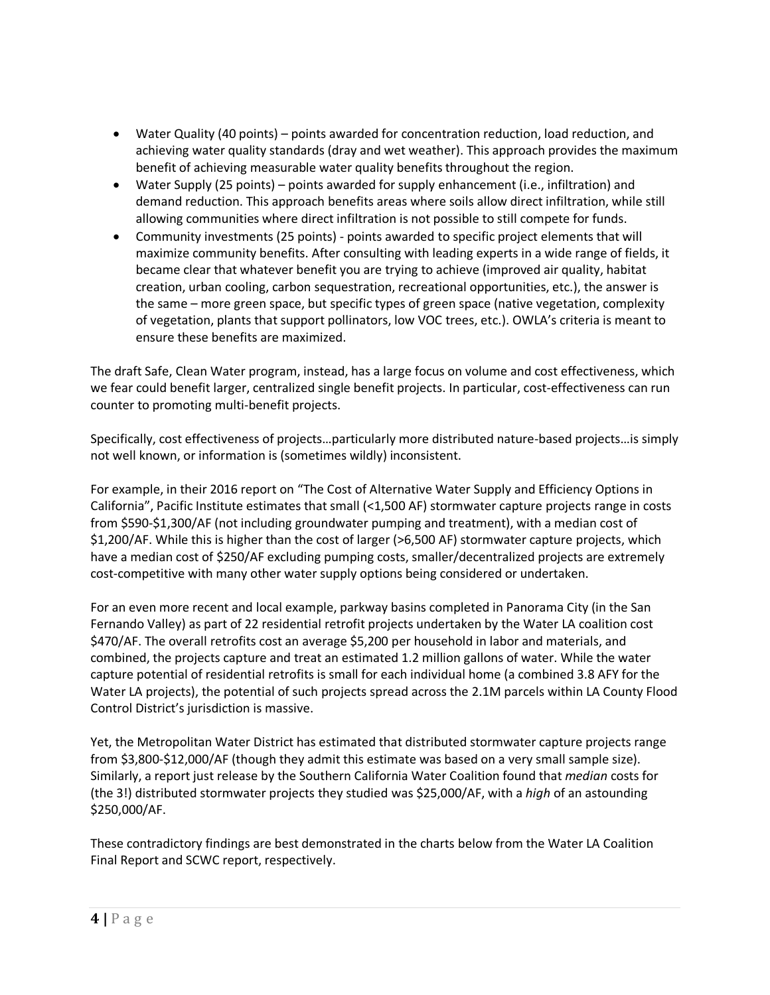- Water Quality (40 points) points awarded for concentration reduction, load reduction, and achieving water quality standards (dray and wet weather). This approach provides the maximum benefit of achieving measurable water quality benefits throughout the region.
- Water Supply (25 points) points awarded for supply enhancement (i.e., infiltration) and demand reduction. This approach benefits areas where soils allow direct infiltration, while still allowing communities where direct infiltration is not possible to still compete for funds.
- Community investments (25 points) points awarded to specific project elements that will maximize community benefits. After consulting with leading experts in a wide range of fields, it became clear that whatever benefit you are trying to achieve (improved air quality, habitat creation, urban cooling, carbon sequestration, recreational opportunities, etc.), the answer is the same – more green space, but specific types of green space (native vegetation, complexity of vegetation, plants that support pollinators, low VOC trees, etc.). OWLA's criteria is meant to ensure these benefits are maximized.

The draft Safe, Clean Water program, instead, has a large focus on volume and cost effectiveness, which we fear could benefit larger, centralized single benefit projects. In particular, cost-effectiveness can run counter to promoting multi-benefit projects.

Specifically, cost effectiveness of projects…particularly more distributed nature-based projects…is simply not well known, or information is (sometimes wildly) inconsistent.

For example, in their 2016 report on "The Cost of Alternative Water Supply and Efficiency Options in California", Pacific Institute estimates that small (<1,500 AF) stormwater capture projects range in costs from \$590-\$1,300/AF (not including groundwater pumping and treatment), with a median cost of \$1,200/AF. While this is higher than the cost of larger (>6,500 AF) stormwater capture projects, which have a median cost of \$250/AF excluding pumping costs, smaller/decentralized projects are extremely cost-competitive with many other water supply options being considered or undertaken.

For an even more recent and local example, parkway basins completed in Panorama City (in the San Fernando Valley) as part of 22 residential retrofit projects undertaken by the Water LA coalition cost \$470/AF. The overall retrofits cost an average \$5,200 per household in labor and materials, and combined, the projects capture and treat an estimated 1.2 million gallons of water. While the water capture potential of residential retrofits is small for each individual home (a combined 3.8 AFY for the Water LA projects), the potential of such projects spread across the 2.1M parcels within LA County Flood Control District's jurisdiction is massive.

Yet, the Metropolitan Water District has estimated that distributed stormwater capture projects range from \$3,800-\$12,000/AF (though they admit this estimate was based on a very small sample size). Similarly, a report just release by the Southern California Water Coalition found that *median* costs for (the 3!) distributed stormwater projects they studied was \$25,000/AF, with a *high* of an astounding \$250,000/AF.

These contradictory findings are best demonstrated in the charts below from the Water LA Coalition Final Report and SCWC report, respectively.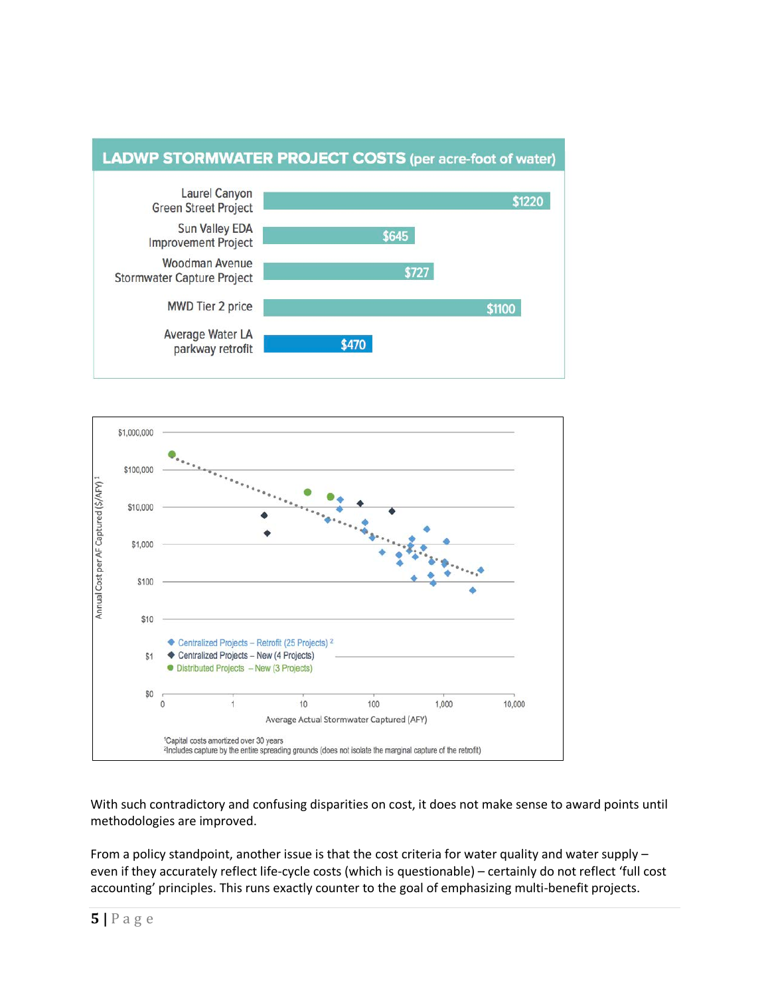### **LADWP STORMWATER PROJECT COSTS (per acre-foot of water)** Laurel Canyon \$1220 **Green Street Project Sun Valley EDA** \$645 **Improvement Project** Woodman Avenue \$727 **Stormwater Capture Project**

\$470

\$1100

**MWD Tier 2 price** 

Average Water LA

parkway retrofit



With such contradictory and confusing disparities on cost, it does not make sense to award points until methodologies are improved.

From a policy standpoint, another issue is that the cost criteria for water quality and water supply – even if they accurately reflect life-cycle costs (which is questionable) – certainly do not reflect 'full cost accounting' principles. This runs exactly counter to the goal of emphasizing multi-benefit projects.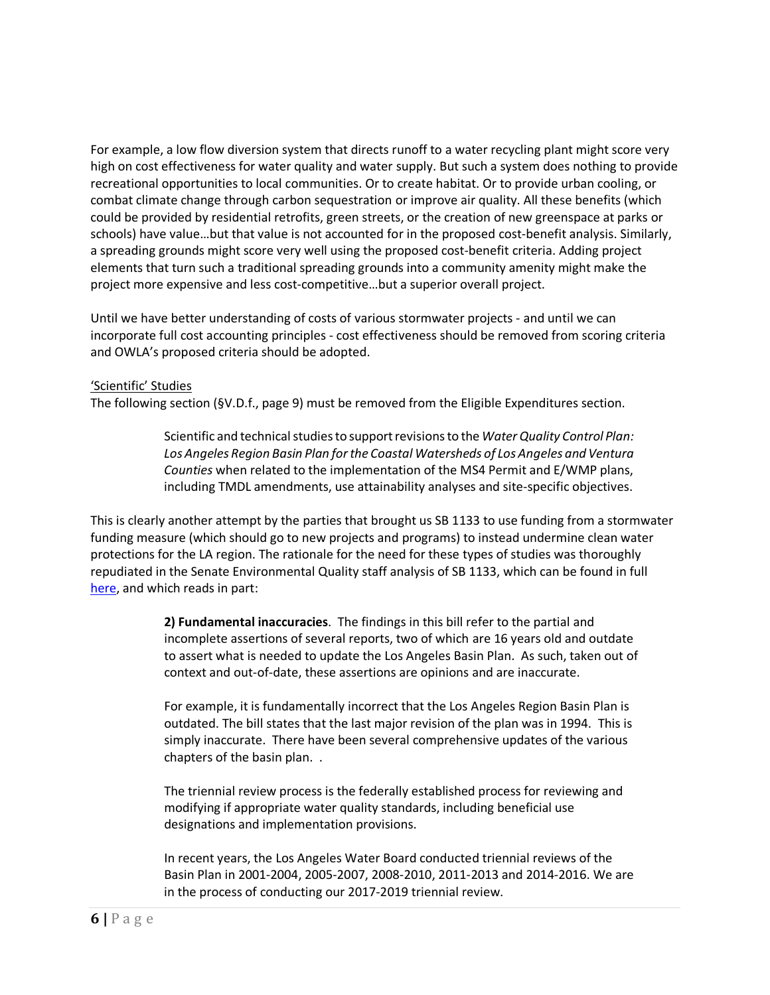For example, a low flow diversion system that directs runoff to a water recycling plant might score very high on cost effectiveness for water quality and water supply. But such a system does nothing to provide recreational opportunities to local communities. Or to create habitat. Or to provide urban cooling, or combat climate change through carbon sequestration or improve air quality. All these benefits (which could be provided by residential retrofits, green streets, or the creation of new greenspace at parks or schools) have value…but that value is not accounted for in the proposed cost-benefit analysis. Similarly, a spreading grounds might score very well using the proposed cost-benefit criteria. Adding project elements that turn such a traditional spreading grounds into a community amenity might make the project more expensive and less cost-competitive…but a superior overall project.

Until we have better understanding of costs of various stormwater projects - and until we can incorporate full cost accounting principles - cost effectiveness should be removed from scoring criteria and OWLA's proposed criteria should be adopted.

## 'Scientific' Studies

The following section (§V.D.f., page 9) must be removed from the Eligible Expenditures section.

Scientific and technical studies to support revisions to the *Water Quality Control Plan: Los Angeles Region Basin Plan for the Coastal Watersheds of Los Angeles and Ventura Counties* when related to the implementation of the MS4 Permit and E/WMP plans, including TMDL amendments, use attainability analyses and site-specific objectives.

This is clearly another attempt by the parties that brought us SB 1133 to use funding from a stormwater funding measure (which should go to new projects and programs) to instead undermine clean water protections for the LA region. The rationale for the need for these types of studies was thoroughly repudiated in the Senate Environmental Quality staff analysis of SB 1133, which can be found in full here, and which reads in part:

> **2) Fundamental inaccuracies**. The findings in this bill refer to the partial and incomplete assertions of several reports, two of which are 16 years old and outdate to assert what is needed to update the Los Angeles Basin Plan. As such, taken out of context and out-of-date, these assertions are opinions and are inaccurate.

For example, it is fundamentally incorrect that the Los Angeles Region Basin Plan is outdated. The bill states that the last major revision of the plan was in 1994. This is simply inaccurate. There have been several comprehensive updates of the various chapters of the basin plan. .

The triennial review process is the federally established process for reviewing and modifying if appropriate water quality standards, including beneficial use designations and implementation provisions.

In recent years, the Los Angeles Water Board conducted triennial reviews of the Basin Plan in 2001-2004, 2005-2007, 2008-2010, 2011-2013 and 2014-2016. We are in the process of conducting our 2017-2019 triennial review.